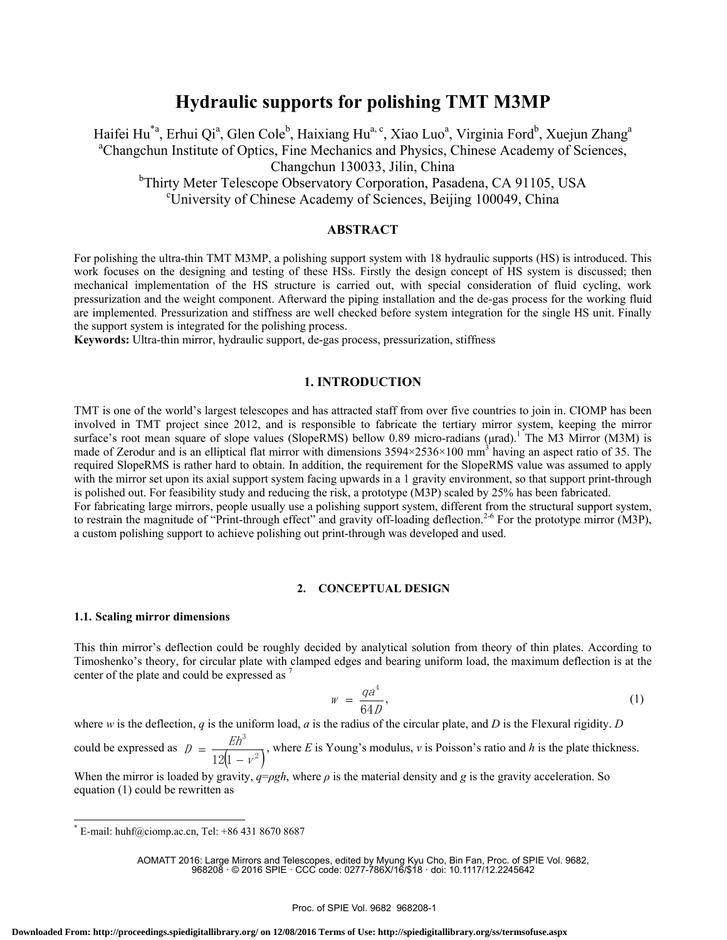# **Hydraulic supports for polishing TMT M3MP**

Haifei Hu<sup>\*a</sup>, Erhui Qi<sup>a</sup>, Glen Cole<sup>b</sup>, Haixiang Hu<sup>a, c</sup>, Xiao Luo<sup>a</sup>, Virginia Ford<sup>b</sup>, Xuejun Zhang<sup>a</sup> <sup>a</sup>Changchun Institute of Optics, Fine Mechanics and Physics, Chinese Academy of Sciences, Changchun 130033, Jilin, China <sup>b</sup>Thirty Meter Telescope Observatory Corporation, Pasadena, CA 91105, USA University of Chinese Academy of Sciences, Beijing 100049, China

# **ABSTRACT**

For polishing the ultra-thin TMT M3MP, a polishing support system with 18 hydraulic supports (HS) is introduced. This work focuses on the designing and testing of these HSs. Firstly the design concept of HS system is discussed; then mechanical implementation of the HS structure is carried out, with special consideration of fluid cycling, work pressurization and the weight component. Afterward the piping installation and the de-gas process for the working fluid are implemented. Pressurization and stiffness are well checked before system integration for the single HS unit. Finally the support system is integrated for the polishing process.

**Keywords:** Ultra-thin mirror, hydraulic support, de-gas process, pressurization, stiffness

## **1. INTRODUCTION**

TMT is one of the world's largest telescopes and has attracted staff from over five countries to join in. CIOMP has been involved in TMT project since 2012, and is responsible to fabricate the tertiary mirror system, keeping the mirror surface's root mean square of slope values (SlopeRMS) bellow 0.89 micro-radians (μrad).<sup>1</sup> The M3 Mirror (M3M) is made of Zerodur and is an elliptical flat mirror with dimensions  $3594 \times 2536 \times 100$  mm<sup>3</sup> having an aspect ratio of 35. The required SlopeRMS is rather hard to obtain. In addition, the requirement for the SlopeRMS value was assumed to apply with the mirror set upon its axial support system facing upwards in a 1 gravity environment, so that support print-through is polished out. For feasibility study and reducing the risk, a prototype (M3P) scaled by 25% has been fabricated. For fabricating large mirrors, people usually use a polishing support system, different from the structural support system, to restrain the magnitude of "Print-through effect" and gravity off-loading deflection.<sup>2-6</sup> For the prototype mirror (M3P), a custom polishing support to achieve polishing out print-through was developed and used.

### **2. CONCEPTUAL DESIGN**

### **1.1. Scaling mirror dimensions**

This thin mirror's deflection could be roughly decided by analytical solution from theory of thin plates. According to Timoshenko's theory, for circular plate with clamped edges and bearing uniform load, the maximum deflection is at the center of the plate and could be expressed as <sup>7</sup>

$$
w = \frac{qa^4}{64D},\tag{1}
$$

where *w* is the deflection, *q* is the uniform load, *a* is the radius of the circular plate, and *D* is the Flexural rigidity. *D* could be expressed as  $( 1 - r^2 )$ 3  $12(1 - v)$  $D = \frac{Eh^2}{2}$  $=\frac{2\pi}{12(1-v^2)}$ , where *E* is Young's modulus, *v* is Poisson's ratio and *h* is the plate thickness.

When the mirror is loaded by gravity,  $q = \rho gh$ , where  $\rho$  is the material density and *g* is the gravity acceleration. So equation (1) could be rewritten as

AOMATT 2016: Large Mirrors and Telescopes, edited by Myung Kyu Cho, Bin Fan, Proc. of SPIE Vol. 9682, 968208 · © 2016 SPIE · CCC code: 0277-786X/16/\$18 · doi: 10.1117/12.2245642

 $E$ -mail: huhf@ciomp.ac.cn, Tel: +86 431 8670 8687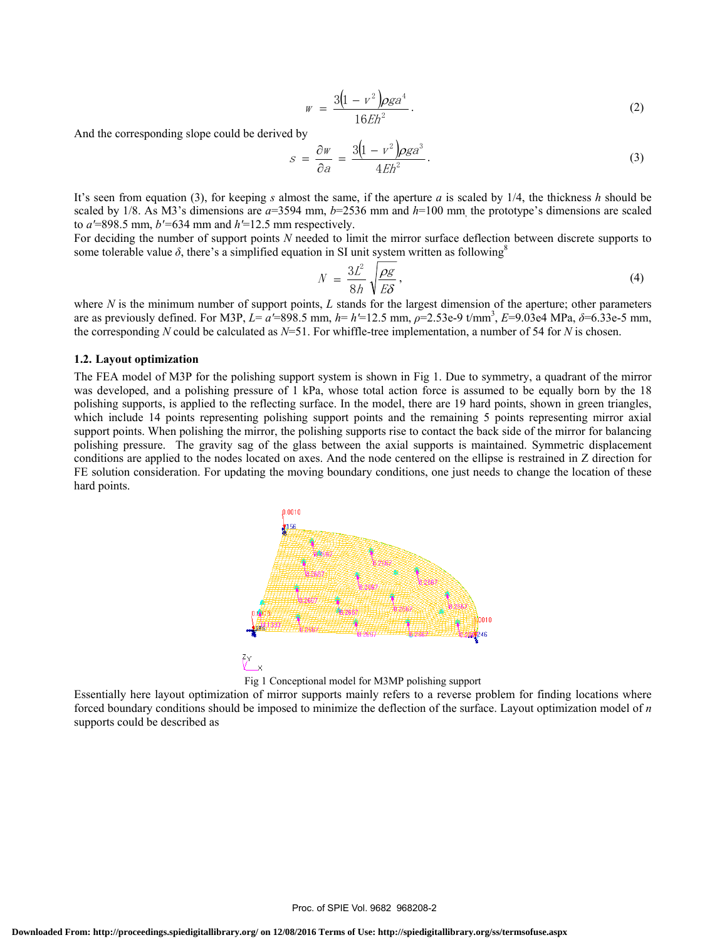$$
w = \frac{3(1 - v^2)\rho g a^4}{16Eh^2}.
$$
 (2)

And the corresponding slope could be derived by

$$
s = \frac{\partial w}{\partial a} = \frac{3(1 - v^2)\rho g a^3}{4Eh^2}.
$$
\n(3)

It's seen from equation (3), for keeping *s* almost the same, if the aperture *a* is scaled by 1/4, the thickness *h* should be scaled by 1/8. As M3's dimensions are *a*=3594 mm, *b*=2536 mm and *h*=100 mm, the prototype's dimensions are scaled to  $a$ <sup> $\text{=898.5 mm}$ ,  $b$ <sup> $\text{=634 mm}$ </sup> and  $h$  $\text{=12.5 mm}$  respectively.</sup>

For deciding the number of support points *N* needed to limit the mirror surface deflection between discrete supports to some tolerable value  $\delta$ , there's a simplified equation in SI unit system written as following<sup>8</sup>

$$
N = \frac{3L^2}{8h} \sqrt{\frac{\rho g}{E\delta}},\tag{4}
$$

where *N* is the minimum number of support points, *L* stands for the largest dimension of the aperture; other parameters are as previously defined. For M3P, *L*= *a′*=898.5 mm, *h*= *h′*=12.5 mm, *ρ*=2.53e-9 t/mm3 , *E*=9.03e4 MPa, *δ*=6.33e-5 mm, the corresponding *N* could be calculated as *N*=51. For whiffle-tree implementation, a number of 54 for *N* is chosen.

### **1.2. Layout optimization**

The FEA model of M3P for the polishing support system is shown in Fig 1. Due to symmetry, a quadrant of the mirror was developed, and a polishing pressure of 1 kPa, whose total action force is assumed to be equally born by the 18 polishing supports, is applied to the reflecting surface. In the model, there are 19 hard points, shown in green triangles, which include 14 points representing polishing support points and the remaining 5 points representing mirror axial support points. When polishing the mirror, the polishing supports rise to contact the back side of the mirror for balancing polishing pressure. The gravity sag of the glass between the axial supports is maintained. Symmetric displacement conditions are applied to the nodes located on axes. And the node centered on the ellipse is restrained in Z direction for FE solution consideration. For updating the moving boundary conditions, one just needs to change the location of these hard points.





Essentially here layout optimization of mirror supports mainly refers to a reverse problem for finding locations where forced boundary conditions should be imposed to minimize the deflection of the surface. Layout optimization model of *n*  supports could be described as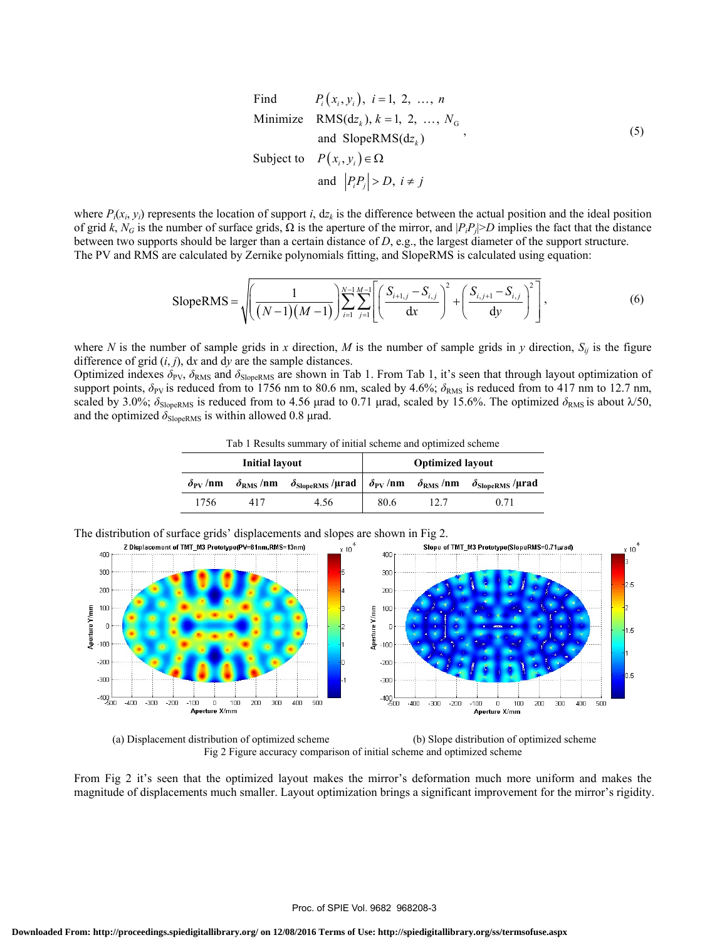Find 
$$
P_i(x_i, y_i)
$$
,  $i = 1, 2, ..., n$   
\nMinimize  $\text{RMS}(dz_k)$ ,  $k = 1, 2, ..., N_G$   
\nand SlopeRMS( $dz_k$ )  
\nSubject to  $P(x_i, y_i) \in \Omega$   
\nand  $|P_i P_j| > D$ ,  $i \neq j$ 

where  $P_i(x_i, y_i)$  represents the location of support *i*,  $dz_k$  is the difference between the actual position and the ideal position of grid *k*,  $N_G$  is the number of surface grids,  $\Omega$  is the aperture of the mirror, and  $|P_iP_j| > D$  implies the fact that the distance between two supports should be larger than a certain distance of *D*, e.g., the largest diameter of the support structure. The PV and RMS are calculated by Zernike polynomials fitting, and SlopeRMS is calculated using equation:

SlopeRMS = 
$$
\sqrt{\left(\frac{1}{(N-1)(M-1)}\right)^{N-1} \sum_{i=1}^{M-1} \sum_{j=1}^{M-1} \left[ \left(\frac{S_{i+1,j} - S_{i,j}}{dx}\right)^2 + \left(\frac{S_{i,j+1} - S_{i,j}}{dy}\right)^2 \right]},
$$
(6)

where *N* is the number of sample grids in *x* direction, *M* is the number of sample grids in *y* direction,  $S_{ij}$  is the figure difference of grid (*i*, *j*), d*x* and d*y* are the sample distances.

Optimized indexes  $\delta_{PV}$ ,  $\delta_{RMS}$  and  $\delta_{SlopeRMS}$  are shown in Tab 1. From Tab 1, it's seen that through layout optimization of support points,  $\delta_{PV}$  is reduced from to 1756 nm to 80.6 nm, scaled by 4.6%;  $\delta_{RMS}$  is reduced from to 417 nm to 12.7 nm, scaled by 3.0%;  $\delta_{\text{SlopeRMS}}$  is reduced from to 4.56 μrad to 0.71 μrad, scaled by 15.6%. The optimized  $\delta_{\text{RMS}}$  is about  $\lambda/50$ , and the optimized  $\delta_{SlopeRMS}$  is within allowed 0.8 µrad.

| Tab 1 Results summary of initial scheme and optimized scheme |
|--------------------------------------------------------------|
|--------------------------------------------------------------|

| <b>Initial layout</b> |  |                                                                                                             | <b>Optimized layout</b> |  |      |
|-----------------------|--|-------------------------------------------------------------------------------------------------------------|-------------------------|--|------|
| $\delta_{\rm PV}$ /nm |  | $\delta_{RMS}$ /nm $\delta_{SlopekMS}$ /µrad $\delta_{PV}$ /nm $\delta_{RMS}$ /nm $\delta_{SlopekMS}$ /µrad |                         |  |      |
| 1756                  |  | 4.56                                                                                                        | 80.6                    |  | O 71 |

The distribution of surface grids' displacements and slopes are shown in Fig 2.





From Fig 2 it's seen that the optimized layout makes the mirror's deformation much more uniform and makes the magnitude of displacements much smaller. Layout optimization brings a significant improvement for the mirror's rigidity.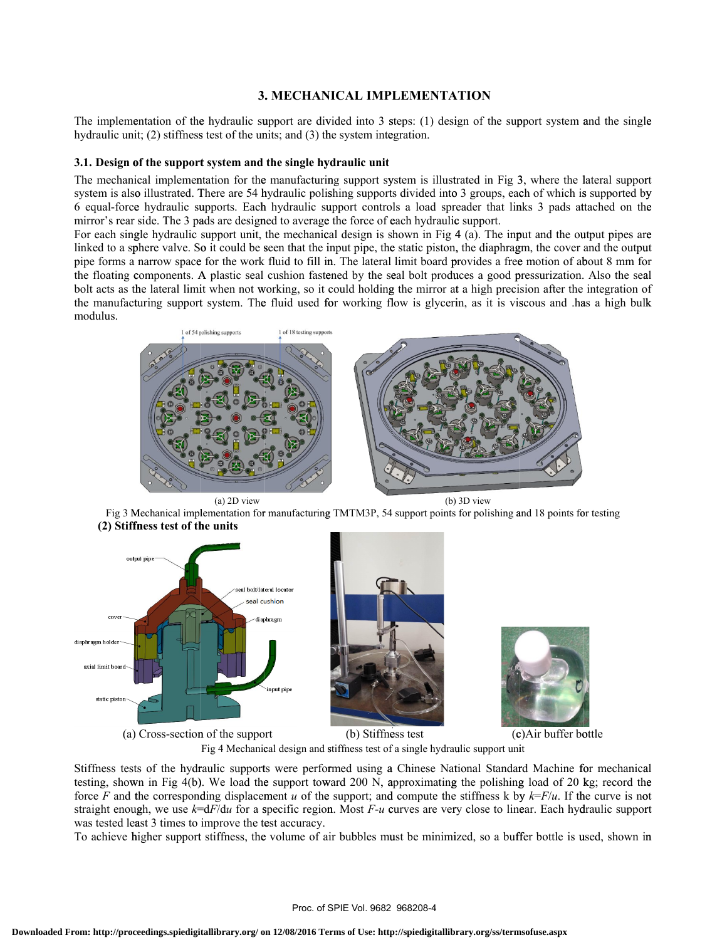The implementation of the hydraulic support are divided into 3 steps: (1) design of the support system and the single hydraulic unit; (2) stiffness test of the units; and (3) the system integration. le<br>rt

### **3.1. Design of the support system and the single hydraulic unit**

The mechanical implementation for the manufacturing support system is illustrated in Fig 3, where the lateral suppor system is also illustrated. There are 54 hydraulic polishing supports divided into 3 groups, each of which is supported by 6 equal-force hydraulic supports. Each hydraulic support controls a load spreader that links 3 pads attached on the mirror's rear side. The 3 pads are designed to average the force of each hydraulic support. yy<br>re<br>ut

For each single hydraulic support unit, the mechanical design is shown in Fig 4 (a). The input and the output pipes are linked to a sphere valve. So it could be seen that the input pipe, the static piston, the diaphragm, the cover and the outpu pipe forms a narrow space for the work fluid to fill in. The lateral limit board provides a free motion of about 8 mm for the floating components. A plastic seal cushion fastened by the seal bolt produces a good pressurization. Also the seal bolt acts as the lateral limit when not working, so it could holding the mirror at a high precision after the integration of the manufacturing support system. The fluid used for working flow is glycerin, as it is viscous and has a high bulk modulus.  $\frac{1}{2}$ 



Fig 3 Mechanical implementation for manufacturing TMTM3P, 54 support points for polishing and 18 points for testing **(2) Stiffn fness test of th he units** 



Fig 4 Mechanical design and stiffness test of a single hydraulic support unit

Stiffness tests of the hydraulic supports were performed using a Chinese National Standard Machine for mechanica testing, shown in Fig 4(b). We load the support toward 200 N, approximating the polishing load of 20 kg; record the testing, shown in Fig 4(b). We load the support toward 200 N, approximating the polishing load of 20 kg; record the force *F* and the corresponding displacement *u* of the support; and compute the stiffness k by  $k=F/u$ . If straight enough, we use  $k= dF/du$  for a specific region. Most *F-u* curves are very close to linear. Each hydraulic support was tested least 3 times to improve the test accuracy.

To achieve higher support stiffness, the volume of air bubbles must be minimized, so a buffer bottle is used, shown in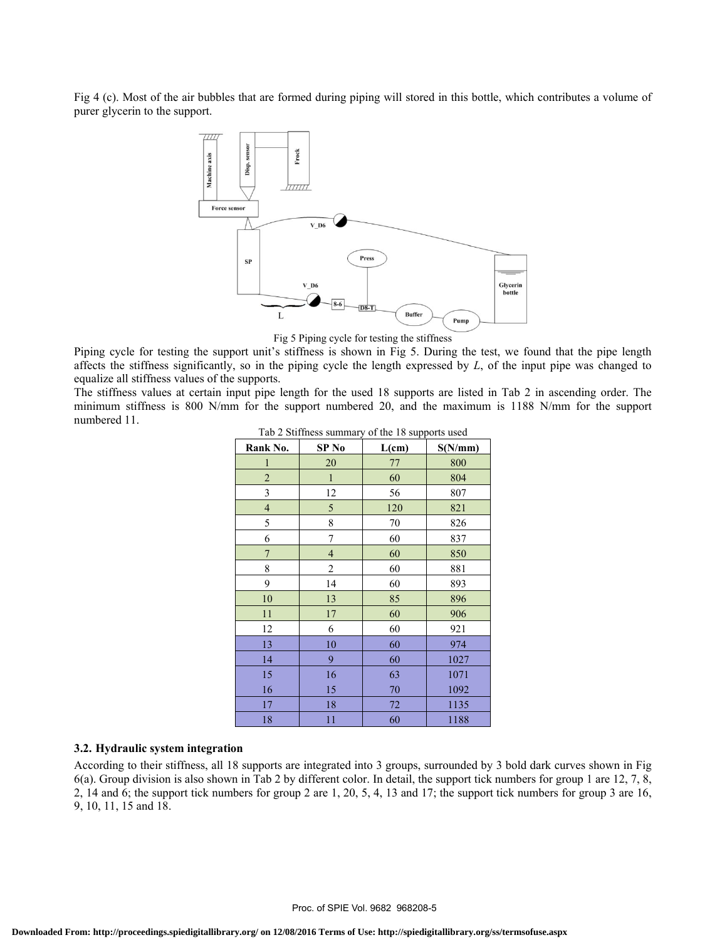Fig 4 (c). Most of the air bubbles that are formed during piping will stored in this bottle, which contributes a volume of purer glycerin to the support.



Fig 5 Piping cycle for testing the stiffness

Piping cycle for testing the support unit's stiffness is shown in Fig 5. During the test, we found that the pipe length affects the stiffness significantly, so in the piping cycle the length expressed by *L*, of the input pipe was changed to equalize all stiffness values of the supports.

The stiffness values at certain input pipe length for the used 18 supports are listed in Tab 2 in ascending order. The minimum stiffness is 800 N/mm for the support numbered 20, and the maximum is 1188 N/mm for the support numbered 11. Tab 2 Stiffness summary of the 18 supports used

| $180 \times 100$ summess summary of the 18 supports used |                  |       |         |  |  |  |  |
|----------------------------------------------------------|------------------|-------|---------|--|--|--|--|
| Rank No.                                                 | SP <sub>No</sub> | L(cm) | S(N/mm) |  |  |  |  |
| $\mathbf{1}$                                             | 20               | 77    | 800     |  |  |  |  |
| $\sqrt{2}$                                               | $\mathbf{1}$     | 60    | 804     |  |  |  |  |
| $\overline{\mathbf{3}}$                                  | 12               | 56    | 807     |  |  |  |  |
| $\overline{\mathbf{4}}$                                  | 5                | 120   | 821     |  |  |  |  |
| 5                                                        | 8                | 70    | 826     |  |  |  |  |
| 6                                                        | 7                | 60    | 837     |  |  |  |  |
| $\overline{7}$                                           | $\overline{4}$   | 60    | 850     |  |  |  |  |
| 8                                                        | 2                | 60    | 881     |  |  |  |  |
| 9                                                        | 14               | 60    | 893     |  |  |  |  |
| 10                                                       | 13               | 85    | 896     |  |  |  |  |
| 11                                                       | $17\,$           | 60    | 906     |  |  |  |  |
| 12                                                       | 6                | 60    | 921     |  |  |  |  |
| 13                                                       | 10               | 60    | 974     |  |  |  |  |
| 14                                                       | 9                | 60    | 1027    |  |  |  |  |
| 15                                                       | 16               | 63    | 1071    |  |  |  |  |
| 16                                                       | 15               | 70    | 1092    |  |  |  |  |
| 17                                                       | 18               | 72    | 1135    |  |  |  |  |
| 18                                                       | 11               | 60    | 1188    |  |  |  |  |

### **3.2. Hydraulic system integration**

According to their stiffness, all 18 supports are integrated into 3 groups, surrounded by 3 bold dark curves shown in Fig 6(a). Group division is also shown in Tab 2 by different color. In detail, the support tick numbers for group 1 are 12, 7, 8, 2, 14 and 6; the support tick numbers for group 2 are 1, 20, 5, 4, 13 and 17; the support tick numbers for group 3 are 16, 9, 10, 11, 15 and 18.